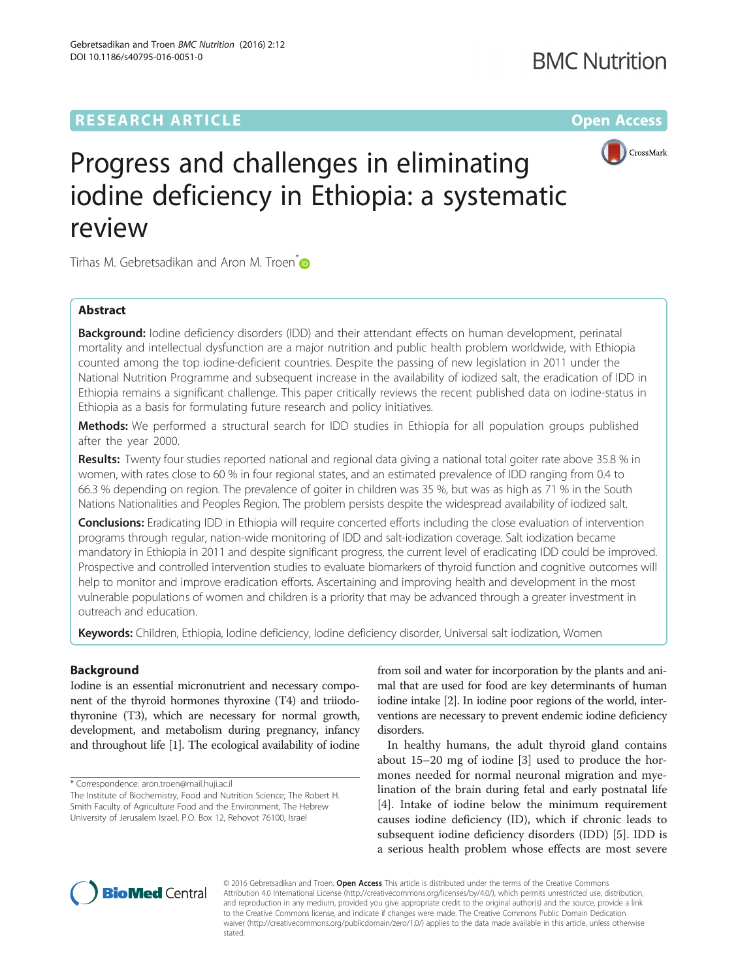# **RESEARCH ARTICLE External Structure Community Community Community Community Community Community Community Community**



# Progress and challenges in eliminating iodine deficiency in Ethiopia: a systematic review

Tirhas M. Gebretsadikan and Aron M. Troen<sup>[\\*](http://orcid.org/0000-0001-9738-2524)</sup>

# Abstract

**Background:** Iodine deficiency disorders (IDD) and their attendant effects on human development, perinatal mortality and intellectual dysfunction are a major nutrition and public health problem worldwide, with Ethiopia counted among the top iodine-deficient countries. Despite the passing of new legislation in 2011 under the National Nutrition Programme and subsequent increase in the availability of iodized salt, the eradication of IDD in Ethiopia remains a significant challenge. This paper critically reviews the recent published data on iodine-status in Ethiopia as a basis for formulating future research and policy initiatives.

Methods: We performed a structural search for IDD studies in Ethiopia for all population groups published after the year 2000.

Results: Twenty four studies reported national and regional data giving a national total goiter rate above 35.8 % in women, with rates close to 60 % in four regional states, and an estimated prevalence of IDD ranging from 0.4 to 66.3 % depending on region. The prevalence of goiter in children was 35 %, but was as high as 71 % in the South Nations Nationalities and Peoples Region. The problem persists despite the widespread availability of iodized salt.

**Conclusions:** Eradicating IDD in Ethiopia will require concerted efforts including the close evaluation of intervention programs through regular, nation-wide monitoring of IDD and salt-iodization coverage. Salt iodization became mandatory in Ethiopia in 2011 and despite significant progress, the current level of eradicating IDD could be improved. Prospective and controlled intervention studies to evaluate biomarkers of thyroid function and cognitive outcomes will help to monitor and improve eradication efforts. Ascertaining and improving health and development in the most vulnerable populations of women and children is a priority that may be advanced through a greater investment in outreach and education.

Keywords: Children, Ethiopia, Iodine deficiency, Iodine deficiency disorder, Universal salt iodization, Women

## Background

Iodine is an essential micronutrient and necessary component of the thyroid hormones thyroxine (T4) and triiodothyronine (T3), which are necessary for normal growth, development, and metabolism during pregnancy, infancy and throughout life [\[1\]](#page-10-0). The ecological availability of iodine

\* Correspondence: [aron.troen@mail.huji.ac.il](mailto:aron.troen@mail.huji.ac.il)

The Institute of Biochemistry, Food and Nutrition Science; The Robert H. Smith Faculty of Agriculture Food and the Environment, The Hebrew University of Jerusalem Israel, P.O. Box 12, Rehovot 76100, Israel

from soil and water for incorporation by the plants and animal that are used for food are key determinants of human iodine intake [\[2\]](#page-10-0). In iodine poor regions of the world, interventions are necessary to prevent endemic iodine deficiency disorders.

In healthy humans, the adult thyroid gland contains about 15–20 mg of iodine [\[3](#page-10-0)] used to produce the hormones needed for normal neuronal migration and myelination of the brain during fetal and early postnatal life [[4\]](#page-10-0). Intake of iodine below the minimum requirement causes iodine deficiency (ID), which if chronic leads to subsequent iodine deficiency disorders (IDD) [[5\]](#page-10-0). IDD is a serious health problem whose effects are most severe



© 2016 Gebretsadikan and Troen. Open Access This article is distributed under the terms of the Creative Commons Attribution 4.0 International License [\(http://creativecommons.org/licenses/by/4.0/](http://creativecommons.org/licenses/by/4.0/)), which permits unrestricted use, distribution, and reproduction in any medium, provided you give appropriate credit to the original author(s) and the source, provide a link to the Creative Commons license, and indicate if changes were made. The Creative Commons Public Domain Dedication waiver [\(http://creativecommons.org/publicdomain/zero/1.0/\)](http://creativecommons.org/publicdomain/zero/1.0/) applies to the data made available in this article, unless otherwise stated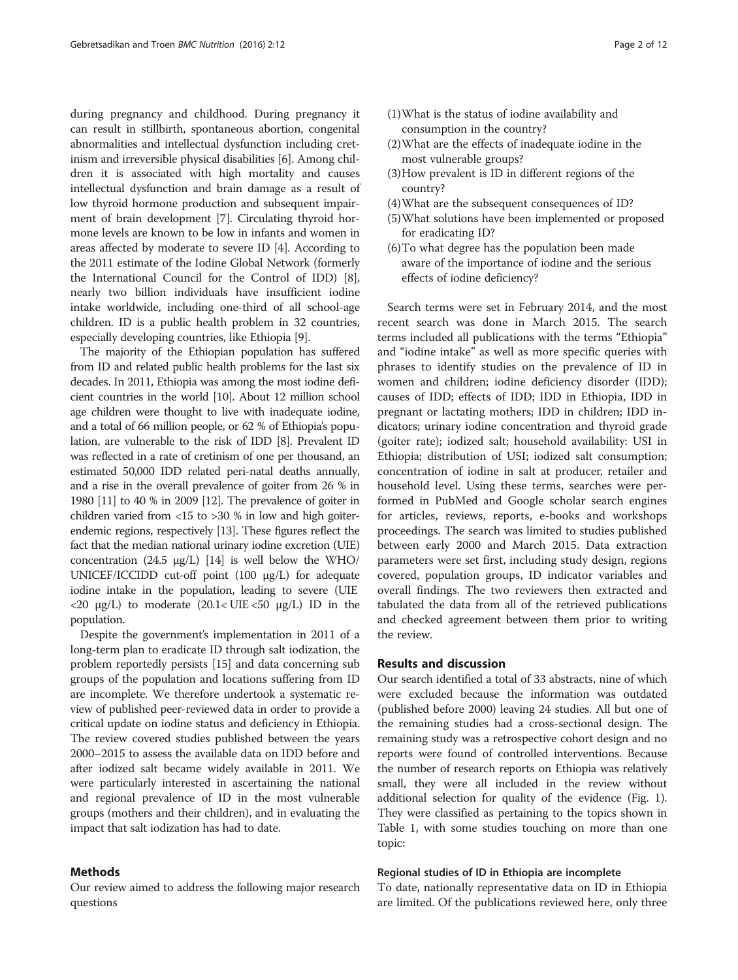during pregnancy and childhood. During pregnancy it can result in stillbirth, spontaneous abortion, congenital abnormalities and intellectual dysfunction including cretinism and irreversible physical disabilities [\[6](#page-10-0)]. Among children it is associated with high mortality and causes intellectual dysfunction and brain damage as a result of low thyroid hormone production and subsequent impairment of brain development [[7](#page-10-0)]. Circulating thyroid hormone levels are known to be low in infants and women in areas affected by moderate to severe ID [\[4](#page-10-0)]. According to the 2011 estimate of the Iodine Global Network (formerly the International Council for the Control of IDD) [[8](#page-10-0)], nearly two billion individuals have insufficient iodine intake worldwide, including one-third of all school-age children. ID is a public health problem in 32 countries, especially developing countries, like Ethiopia [[9](#page-10-0)].

The majority of the Ethiopian population has suffered from ID and related public health problems for the last six decades. In 2011, Ethiopia was among the most iodine deficient countries in the world [\[10](#page-10-0)]. About 12 million school age children were thought to live with inadequate iodine, and a total of 66 million people, or 62 % of Ethiopia's population, are vulnerable to the risk of IDD [\[8](#page-10-0)]. Prevalent ID was reflected in a rate of cretinism of one per thousand, an estimated 50,000 IDD related peri-natal deaths annually, and a rise in the overall prevalence of goiter from 26 % in 1980 [[11](#page-10-0)] to 40 % in 2009 [\[12](#page-10-0)]. The prevalence of goiter in children varied from  $\langle 15 \rangle$  to  $>30\%$  in low and high goiterendemic regions, respectively [[13](#page-10-0)]. These figures reflect the fact that the median national urinary iodine excretion (UIE) concentration (24.5  $\mu$ g/L) [\[14](#page-10-0)] is well below the WHO/ UNICEF/ICCIDD cut-off point (100 μg/L) for adequate iodine intake in the population, leading to severe (UIE  $\langle 20 \text{ µg/L} \rangle$  to moderate  $(20.1 \langle \text{UIE} \langle 50 \text{ µg/L} \rangle)$  ID in the population.

Despite the government's implementation in 2011 of a long-term plan to eradicate ID through salt iodization, the problem reportedly persists [\[15\]](#page-10-0) and data concerning sub groups of the population and locations suffering from ID are incomplete. We therefore undertook a systematic review of published peer-reviewed data in order to provide a critical update on iodine status and deficiency in Ethiopia. The review covered studies published between the years 2000–2015 to assess the available data on IDD before and after iodized salt became widely available in 2011. We were particularly interested in ascertaining the national and regional prevalence of ID in the most vulnerable groups (mothers and their children), and in evaluating the impact that salt iodization has had to date.

#### Methods

Our review aimed to address the following major research questions

- (1)What is the status of iodine availability and consumption in the country?
- (2)What are the effects of inadequate iodine in the most vulnerable groups?
- (3)How prevalent is ID in different regions of the country?
- (4)What are the subsequent consequences of ID?
- (5)What solutions have been implemented or proposed for eradicating ID?
- (6)To what degree has the population been made aware of the importance of iodine and the serious effects of iodine deficiency?

Search terms were set in February 2014, and the most recent search was done in March 2015. The search terms included all publications with the terms "Ethiopia" and "iodine intake" as well as more specific queries with phrases to identify studies on the prevalence of ID in women and children; iodine deficiency disorder (IDD); causes of IDD; effects of IDD; IDD in Ethiopia, IDD in pregnant or lactating mothers; IDD in children; IDD indicators; urinary iodine concentration and thyroid grade (goiter rate); iodized salt; household availability: USI in Ethiopia; distribution of USI; iodized salt consumption; concentration of iodine in salt at producer, retailer and household level. Using these terms, searches were performed in PubMed and Google scholar search engines for articles, reviews, reports, e-books and workshops proceedings. The search was limited to studies published between early 2000 and March 2015. Data extraction parameters were set first, including study design, regions covered, population groups, ID indicator variables and overall findings. The two reviewers then extracted and tabulated the data from all of the retrieved publications and checked agreement between them prior to writing the review.

### Results and discussion

Our search identified a total of 33 abstracts, nine of which were excluded because the information was outdated (published before 2000) leaving 24 studies. All but one of the remaining studies had a cross-sectional design. The remaining study was a retrospective cohort design and no reports were found of controlled interventions. Because the number of research reports on Ethiopia was relatively small, they were all included in the review without additional selection for quality of the evidence (Fig. [1](#page-2-0)). They were classified as pertaining to the topics shown in Table [1,](#page-3-0) with some studies touching on more than one topic:

#### Regional studies of ID in Ethiopia are incomplete

To date, nationally representative data on ID in Ethiopia are limited. Of the publications reviewed here, only three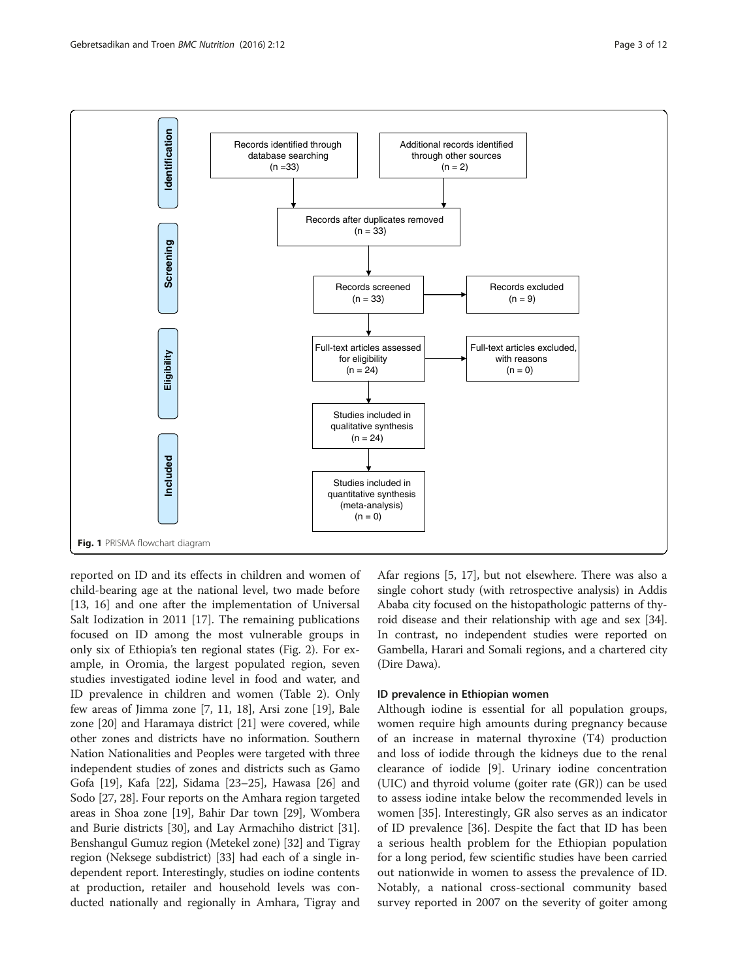<span id="page-2-0"></span>

reported on ID and its effects in children and women of child-bearing age at the national level, two made before [[13, 16\]](#page-10-0) and one after the implementation of Universal Salt Iodization in 2011 [[17\]](#page-10-0). The remaining publications focused on ID among the most vulnerable groups in only six of Ethiopia's ten regional states (Fig. [2](#page-4-0)). For example, in Oromia, the largest populated region, seven studies investigated iodine level in food and water, and ID prevalence in children and women (Table [2\)](#page-5-0). Only few areas of Jimma zone [[7, 11](#page-10-0), [18](#page-10-0)], Arsi zone [\[19\]](#page-10-0), Bale zone [\[20\]](#page-10-0) and Haramaya district [\[21\]](#page-10-0) were covered, while other zones and districts have no information. Southern Nation Nationalities and Peoples were targeted with three independent studies of zones and districts such as Gamo Gofa [[19](#page-10-0)], Kafa [[22](#page-10-0)], Sidama [[23](#page-10-0)–[25\]](#page-10-0), Hawasa [\[26\]](#page-10-0) and Sodo [\[27](#page-10-0), [28](#page-10-0)]. Four reports on the Amhara region targeted areas in Shoa zone [[19](#page-10-0)], Bahir Dar town [[29](#page-10-0)], Wombera and Burie districts [\[30\]](#page-10-0), and Lay Armachiho district [[31](#page-10-0)]. Benshangul Gumuz region (Metekel zone) [[32\]](#page-10-0) and Tigray region (Neksege subdistrict) [\[33\]](#page-10-0) had each of a single independent report. Interestingly, studies on iodine contents at production, retailer and household levels was conducted nationally and regionally in Amhara, Tigray and Afar regions [[5](#page-10-0), [17\]](#page-10-0), but not elsewhere. There was also a single cohort study (with retrospective analysis) in Addis Ababa city focused on the histopathologic patterns of thyroid disease and their relationship with age and sex [[34](#page-10-0)]. In contrast, no independent studies were reported on Gambella, Harari and Somali regions, and a chartered city (Dire Dawa).

#### ID prevalence in Ethiopian women

Although iodine is essential for all population groups, women require high amounts during pregnancy because of an increase in maternal thyroxine (T4) production and loss of iodide through the kidneys due to the renal clearance of iodide [\[9\]](#page-10-0). Urinary iodine concentration (UIC) and thyroid volume (goiter rate (GR)) can be used to assess iodine intake below the recommended levels in women [[35\]](#page-10-0). Interestingly, GR also serves as an indicator of ID prevalence [[36](#page-10-0)]. Despite the fact that ID has been a serious health problem for the Ethiopian population for a long period, few scientific studies have been carried out nationwide in women to assess the prevalence of ID. Notably, a national cross-sectional community based survey reported in 2007 on the severity of goiter among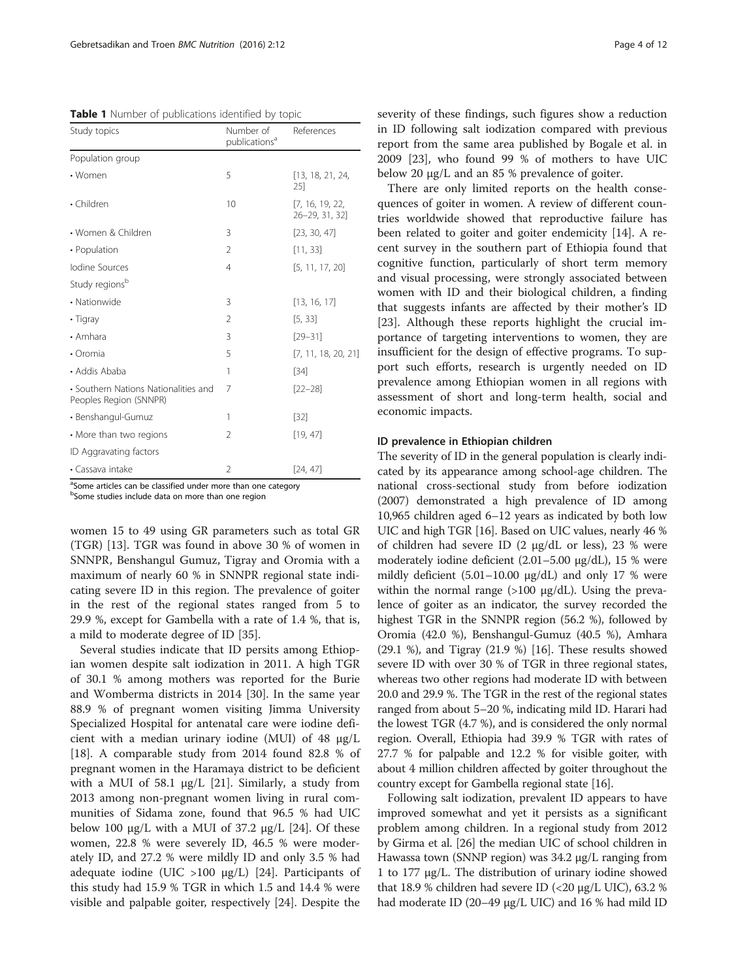<span id="page-3-0"></span>Table 1 Number of publications identified by topic

| Study topics                                                   | Number of<br>publications <sup>a</sup> | References                        |
|----------------------------------------------------------------|----------------------------------------|-----------------------------------|
| Population group                                               |                                        |                                   |
| • Women                                                        | 5                                      | [13, 18, 21, 24,<br>25]           |
| • Children                                                     | 10                                     | [7, 16, 19, 22,<br>26-29, 31, 32] |
| • Women & Children                                             | 3                                      | [23, 30, 47]                      |
| • Population                                                   | $\overline{2}$                         | [11, 33]                          |
| <b>Iodine Sources</b>                                          | $\overline{4}$                         | [5, 11, 17, 20]                   |
| Study regionsb                                                 |                                        |                                   |
| • Nationwide                                                   | 3                                      | [13, 16, 17]                      |
| • Tigray                                                       | 2                                      | [5, 33]                           |
| • Amhara                                                       | 3                                      | $[29 - 31]$                       |
| • Oromia                                                       | 5                                      | [7, 11, 18, 20, 21]               |
| • Addis Ababa                                                  | 1                                      | $[34]$                            |
| • Southern Nations Nationalities and<br>Peoples Region (SNNPR) | 7                                      | $[22 - 28]$                       |
| • Benshangul-Gumuz                                             | 1                                      | $[32]$                            |
| • More than two regions                                        | 2                                      | [19, 47]                          |
| ID Aggravating factors                                         |                                        |                                   |
| • Cassava intake                                               | 2                                      | [24, 47]                          |

<sup>a</sup>Some articles can be classified under more than one category

<sup>b</sup>Some studies include data on more than one region

women 15 to 49 using GR parameters such as total GR (TGR) [\[13](#page-10-0)]. TGR was found in above 30 % of women in SNNPR, Benshangul Gumuz, Tigray and Oromia with a maximum of nearly 60 % in SNNPR regional state indicating severe ID in this region. The prevalence of goiter in the rest of the regional states ranged from 5 to 29.9 %, except for Gambella with a rate of 1.4 %, that is, a mild to moderate degree of ID [\[35](#page-10-0)].

Several studies indicate that ID persits among Ethiopian women despite salt iodization in 2011. A high TGR of 30.1 % among mothers was reported for the Burie and Womberma districts in 2014 [[30\]](#page-10-0). In the same year 88.9 % of pregnant women visiting Jimma University Specialized Hospital for antenatal care were iodine deficient with a median urinary iodine (MUI) of 48 μg/L [[18\]](#page-10-0). A comparable study from 2014 found 82.8 % of pregnant women in the Haramaya district to be deficient with a MUI of 58.1 μg/L [[21\]](#page-10-0). Similarly, a study from 2013 among non-pregnant women living in rural communities of Sidama zone, found that 96.5 % had UIC below 100 μg/L with a MUI of 37.2 μg/L [\[24](#page-10-0)]. Of these women, 22.8 % were severely ID, 46.5 % were moderately ID, and 27.2 % were mildly ID and only 3.5 % had adequate iodine (UIC >100 μg/L) [\[24\]](#page-10-0). Participants of this study had 15.9 % TGR in which 1.5 and 14.4 % were visible and palpable goiter, respectively [[24](#page-10-0)]. Despite the severity of these findings, such figures show a reduction in ID following salt iodization compared with previous report from the same area published by Bogale et al. in 2009 [[23\]](#page-10-0), who found 99 % of mothers to have UIC below 20 μg/L and an 85 % prevalence of goiter.

There are only limited reports on the health consequences of goiter in women. A review of different countries worldwide showed that reproductive failure has been related to goiter and goiter endemicity [\[14\]](#page-10-0). A recent survey in the southern part of Ethiopia found that cognitive function, particularly of short term memory and visual processing, were strongly associated between women with ID and their biological children, a finding that suggests infants are affected by their mother's ID [[23\]](#page-10-0). Although these reports highlight the crucial importance of targeting interventions to women, they are insufficient for the design of effective programs. To support such efforts, research is urgently needed on ID prevalence among Ethiopian women in all regions with assessment of short and long-term health, social and economic impacts.

#### ID prevalence in Ethiopian children

The severity of ID in the general population is clearly indicated by its appearance among school-age children. The national cross-sectional study from before iodization (2007) demonstrated a high prevalence of ID among 10,965 children aged 6–12 years as indicated by both low UIC and high TGR [[16](#page-10-0)]. Based on UIC values, nearly 46 % of children had severe ID (2 μg/dL or less), 23 % were moderately iodine deficient (2.01–5.00 μg/dL), 15 % were mildly deficient  $(5.01-10.00 \mu g/dL)$  and only 17 % were within the normal range  $(>100 \mu g/dL)$ . Using the prevalence of goiter as an indicator, the survey recorded the highest TGR in the SNNPR region (56.2 %), followed by Oromia (42.0 %), Benshangul-Gumuz (40.5 %), Amhara (29.1 %), and Tigray (21.9 %) [\[16\]](#page-10-0). These results showed severe ID with over 30 % of TGR in three regional states, whereas two other regions had moderate ID with between 20.0 and 29.9 %. The TGR in the rest of the regional states ranged from about 5–20 %, indicating mild ID. Harari had the lowest TGR (4.7 %), and is considered the only normal region. Overall, Ethiopia had 39.9 % TGR with rates of 27.7 % for palpable and 12.2 % for visible goiter, with about 4 million children affected by goiter throughout the country except for Gambella regional state [\[16\]](#page-10-0).

Following salt iodization, prevalent ID appears to have improved somewhat and yet it persists as a significant problem among children. In a regional study from 2012 by Girma et al. [\[26\]](#page-10-0) the median UIC of school children in Hawassa town (SNNP region) was 34.2 μg/L ranging from 1 to 177 μg/L. The distribution of urinary iodine showed that 18.9 % children had severe ID (<20 μg/L UIC), 63.2 % had moderate ID (20–49 μg/L UIC) and 16 % had mild ID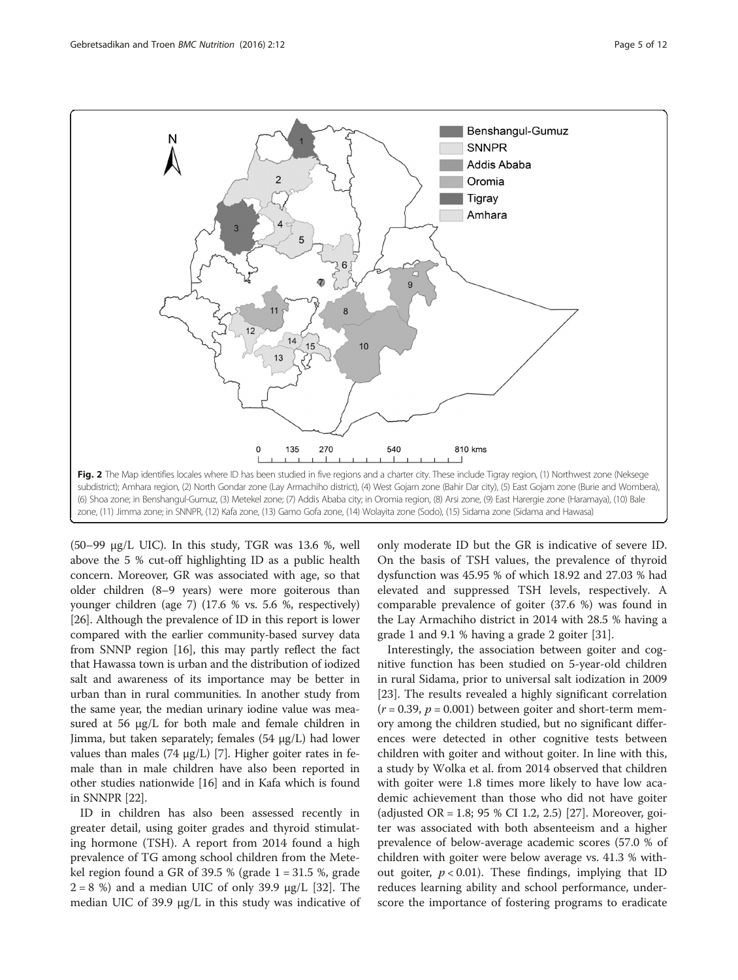

<span id="page-4-0"></span>

(50–99 μg/L UIC). In this study, TGR was 13.6 %, well above the 5 % cut-off highlighting ID as a public health concern. Moreover, GR was associated with age, so that older children (8–9 years) were more goiterous than younger children (age 7) (17.6 % vs. 5.6 %, respectively) [[26](#page-10-0)]. Although the prevalence of ID in this report is lower compared with the earlier community-based survey data from SNNP region [\[16\]](#page-10-0), this may partly reflect the fact that Hawassa town is urban and the distribution of iodized salt and awareness of its importance may be better in urban than in rural communities. In another study from the same year, the median urinary iodine value was measured at 56 μg/L for both male and female children in Jimma, but taken separately; females (54 μg/L) had lower values than males (74 μg/L) [\[7\]](#page-10-0). Higher goiter rates in female than in male children have also been reported in other studies nationwide [\[16\]](#page-10-0) and in Kafa which is found in SNNPR [[22\]](#page-10-0).

ID in children has also been assessed recently in greater detail, using goiter grades and thyroid stimulating hormone (TSH). A report from 2014 found a high prevalence of TG among school children from the Metekel region found a GR of 39.5 % (grade  $1 = 31.5$  %, grade  $2 = 8$  %) and a median UIC of only 39.9 μg/L [\[32](#page-10-0)]. The median UIC of 39.9 μg/L in this study was indicative of only moderate ID but the GR is indicative of severe ID. On the basis of TSH values, the prevalence of thyroid dysfunction was 45.95 % of which 18.92 and 27.03 % had elevated and suppressed TSH levels, respectively. A comparable prevalence of goiter (37.6 %) was found in the Lay Armachiho district in 2014 with 28.5 % having a grade 1 and 9.1 % having a grade 2 goiter [[31](#page-10-0)].

Interestingly, the association between goiter and cognitive function has been studied on 5-year-old children in rural Sidama, prior to universal salt iodization in 2009 [[23\]](#page-10-0). The results revealed a highly significant correlation  $(r = 0.39, p = 0.001)$  between goiter and short-term memory among the children studied, but no significant differences were detected in other cognitive tests between children with goiter and without goiter. In line with this, a study by Wolka et al. from 2014 observed that children with goiter were 1.8 times more likely to have low academic achievement than those who did not have goiter (adjusted OR = 1.8; 95 % CI 1.2, 2.5) [[27\]](#page-10-0). Moreover, goiter was associated with both absenteeism and a higher prevalence of below-average academic scores (57.0 % of children with goiter were below average vs. 41.3 % without goiter,  $p < 0.01$ ). These findings, implying that ID reduces learning ability and school performance, underscore the importance of fostering programs to eradicate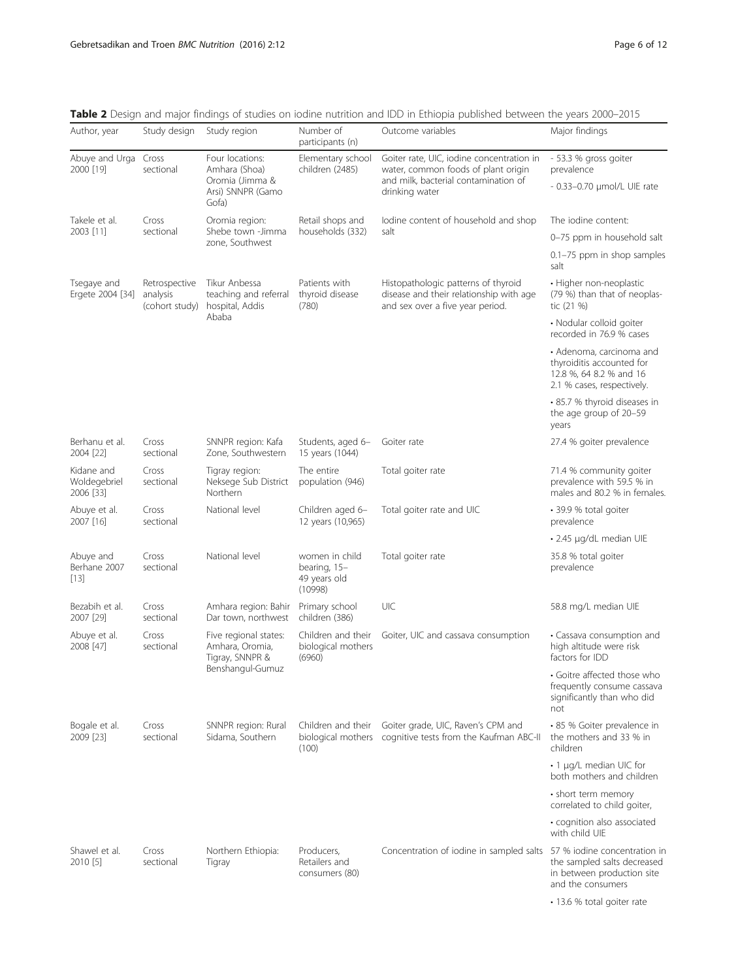| Author, year                                   | Study design                                | Study region                                                                      | Number of<br>participants (n)                             | Outcome variables                                                                                                                          | Major findings                                                                                                 |
|------------------------------------------------|---------------------------------------------|-----------------------------------------------------------------------------------|-----------------------------------------------------------|--------------------------------------------------------------------------------------------------------------------------------------------|----------------------------------------------------------------------------------------------------------------|
| Abuye and Urga Cross<br>2000 [19]<br>sectional |                                             | Four locations:<br>Amhara (Shoa)<br>Oromia (Jimma &<br>Arsi) SNNPR (Gamo<br>Gofa) | Elementary school<br>children (2485)                      | Goiter rate, UIC, iodine concentration in<br>water, common foods of plant origin<br>and milk, bacterial contamination of<br>drinking water | - 53.3 % gross goiter<br>prevalence                                                                            |
|                                                |                                             |                                                                                   |                                                           |                                                                                                                                            | - 0.33-0.70 µmol/L UIE rate                                                                                    |
| Takele et al.                                  | Cross                                       | Oromia region:<br>Shebe town -Jimma<br>zone. Southwest                            | Retail shops and<br>households (332)                      | lodine content of household and shop<br>salt                                                                                               | The iodine content:                                                                                            |
| 2003 [11]                                      | sectional                                   |                                                                                   |                                                           |                                                                                                                                            | 0-75 ppm in household salt                                                                                     |
|                                                |                                             |                                                                                   |                                                           |                                                                                                                                            | 0.1-75 ppm in shop samples<br>salt                                                                             |
| Tsegaye and<br>Ergete 2004 [34]                | Retrospective<br>analysis<br>(cohort study) | Tikur Anbessa<br>teaching and referral<br>hospital, Addis<br>Ababa                | Patients with<br>thyroid disease<br>(780)                 | Histopathologic patterns of thyroid<br>disease and their relationship with age<br>and sex over a five year period.                         | · Higher non-neoplastic<br>(79 %) than that of neoplas-<br>tic (21 %)                                          |
|                                                |                                             |                                                                                   |                                                           |                                                                                                                                            | · Nodular colloid goiter<br>recorded in 76.9 % cases                                                           |
|                                                |                                             |                                                                                   |                                                           |                                                                                                                                            | • Adenoma, carcinoma and<br>thyroiditis accounted for<br>12.8 %, 64 8.2 % and 16<br>2.1 % cases, respectively. |
|                                                |                                             |                                                                                   |                                                           |                                                                                                                                            | • 85.7 % thyroid diseases in<br>the age group of 20-59<br>years                                                |
| Berhanu et al.<br>2004 [22]                    | Cross<br>sectional                          | SNNPR region: Kafa<br>Zone, Southwestern                                          | Students, aged 6-<br>15 years (1044)                      | Goiter rate                                                                                                                                | 27.4 % goiter prevalence                                                                                       |
| Kidane and<br>Woldegebriel<br>2006 [33]        | Cross<br>sectional                          | Tigray region:<br>Neksege Sub District<br>Northern                                | The entire<br>population (946)                            | Total goiter rate                                                                                                                          | 71.4 % community goiter<br>prevalence with 59.5 % in<br>males and 80.2 % in females.                           |
| Abuye et al.<br>2007 [16]                      | Cross<br>sectional                          | National level                                                                    | Children aged 6-<br>12 years (10,965)                     | Total goiter rate and UIC                                                                                                                  | • 39.9 % total goiter<br>prevalence                                                                            |
|                                                |                                             |                                                                                   |                                                           |                                                                                                                                            | • 2.45 µg/dL median UIE                                                                                        |
| Abuye and<br>Berhane 2007<br>$[13]$            | Cross<br>sectional                          | National level                                                                    | women in child<br>bearing, 15-<br>49 years old<br>(10998) | Total goiter rate                                                                                                                          | 35.8 % total goiter<br>prevalence                                                                              |
| Bezabih et al.<br>2007 [29]                    | Cross<br>sectional                          | Amhara region: Bahir<br>Dar town, northwest                                       | Primary school<br>children (386)                          | UIC                                                                                                                                        | 58.8 mg/L median UIE                                                                                           |
| Abuye et al.<br>2008 [47]                      | Cross<br>sectional                          | Five regional states:<br>Amhara, Oromia,<br>Tigray, SNNPR &<br>Benshangul-Gumuz   | Children and their<br>biological mothers<br>(6960)        | Goiter, UIC and cassava consumption                                                                                                        | • Cassava consumption and<br>high altitude were risk<br>factors for IDD                                        |
|                                                |                                             |                                                                                   |                                                           |                                                                                                                                            | • Goitre affected those who<br>frequently consume cassava<br>significantly than who did<br>not                 |
| Bogale et al.<br>2009 [23]                     | Cross<br>sectional                          | SNNPR region: Rural<br>Sidama, Southern                                           | Children and their<br>biological mothers<br>(100)         | Goiter grade, UIC, Raven's CPM and<br>cognitive tests from the Kaufman ABC-II                                                              | • 85 % Goiter prevalence in<br>the mothers and 33 % in<br>children                                             |
|                                                |                                             |                                                                                   |                                                           |                                                                                                                                            | • 1 µg/L median UIC for<br>both mothers and children                                                           |
|                                                |                                             |                                                                                   |                                                           |                                                                                                                                            | • short term memory<br>correlated to child goiter,                                                             |
|                                                |                                             |                                                                                   |                                                           |                                                                                                                                            | • cognition also associated<br>with child UIE                                                                  |
| Shawel et al.<br>2010 [5]                      | Cross<br>sectional                          | Northern Ethiopia:<br>Tigray                                                      | Producers,<br>Retailers and<br>consumers (80)             | Concentration of iodine in sampled salts                                                                                                   | 57 % iodine concentration in<br>the sampled salts decreased<br>in between production site<br>and the consumers |
|                                                |                                             |                                                                                   |                                                           |                                                                                                                                            | • 13.6 % total goiter rate                                                                                     |

<span id="page-5-0"></span>Table 2 Design and major findings of studies on iodine nutrition and IDD in Ethiopia published between the years 2000-2015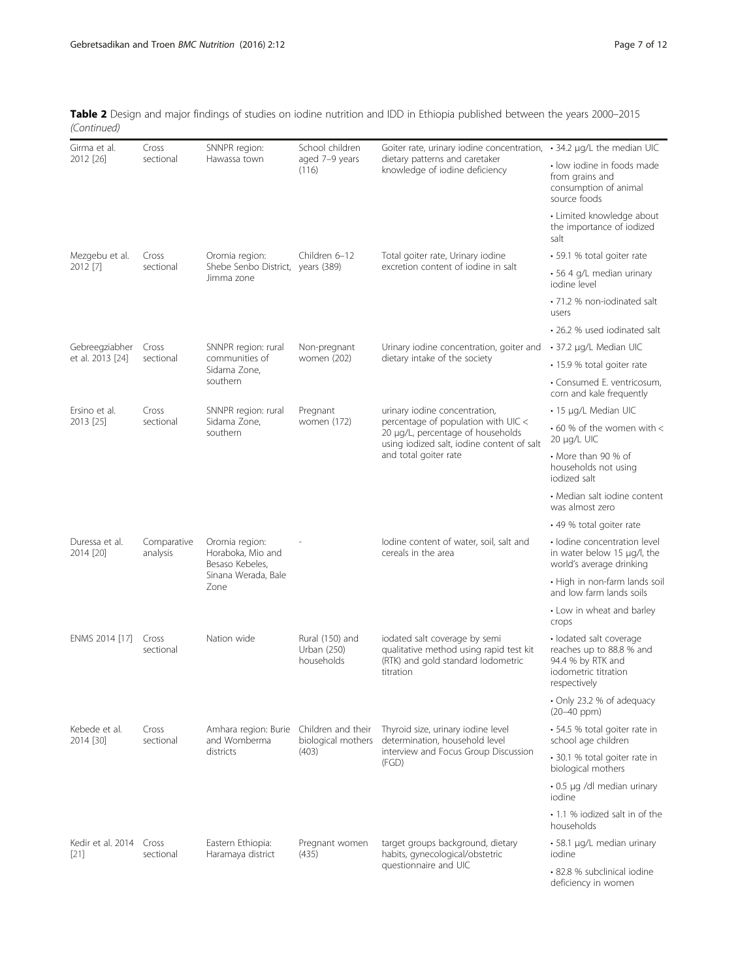| Table 2 Design and major findings of studies on iodine nutrition and IDD in Ethiopia published between the years 2000–2015 |  |
|----------------------------------------------------------------------------------------------------------------------------|--|
| (Continued)                                                                                                                |  |

| Girma et al.<br>2012 [26]       | Cross                   | SNNPR region:<br>Hawassa town                                                         | School children<br>aged 7-9 years<br>(116)        | Goiter rate, urinary iodine concentration, $\cdot$ 34.2 $\mu$ g/L the median UIC<br>dietary patterns and caretaker<br>knowledge of iodine deficiency |                                                                                                                  |
|---------------------------------|-------------------------|---------------------------------------------------------------------------------------|---------------------------------------------------|------------------------------------------------------------------------------------------------------------------------------------------------------|------------------------------------------------------------------------------------------------------------------|
|                                 | sectional               |                                                                                       |                                                   |                                                                                                                                                      | • low iodine in foods made<br>from grains and<br>consumption of animal<br>source foods                           |
|                                 |                         |                                                                                       |                                                   |                                                                                                                                                      | • Limited knowledge about<br>the importance of iodized<br>salt                                                   |
| Mezgebu et al.<br>2012 [7]      | Cross                   | Oromia region:<br>Shebe Senbo District, years (389)<br>Jimma zone                     | Children 6-12                                     | Total goiter rate, Urinary iodine<br>excretion content of iodine in salt                                                                             | • 59.1 % total goiter rate                                                                                       |
|                                 | sectional               |                                                                                       |                                                   |                                                                                                                                                      | • 56 4 g/L median urinary<br>jodine level                                                                        |
|                                 |                         |                                                                                       |                                                   |                                                                                                                                                      | • 71.2 % non-iodinated salt<br>users                                                                             |
|                                 |                         |                                                                                       |                                                   |                                                                                                                                                      | • 26.2 % used jodinated salt                                                                                     |
| Gebreegziabher                  | Cross                   | SNNPR region: rural<br>communities of<br>Sidama Zone,<br>southern                     | Non-pregnant                                      | Urinary iodine concentration, goiter and<br>dietary intake of the society                                                                            | • 37.2 µg/L Median UIC                                                                                           |
| et al. 2013 [24]                | sectional               |                                                                                       | women (202)                                       |                                                                                                                                                      | • 15.9 % total goiter rate                                                                                       |
|                                 |                         |                                                                                       |                                                   |                                                                                                                                                      | • Consumed E. ventricosum,<br>corn and kale frequently                                                           |
| Ersino et al.                   | Cross                   | SNNPR region: rural                                                                   | Pregnant                                          | urinary iodine concentration,                                                                                                                        | • 15 µg/L Median UIC                                                                                             |
| 2013 [25]                       | sectional               | Sidama Zone,<br>southern                                                              | women (172)                                       | percentage of population with UIC <<br>20 µg/L, percentage of households<br>using iodized salt, iodine content of salt                               | $\cdot$ 60 % of the women with <<br>20 µg/L UIC                                                                  |
|                                 |                         |                                                                                       |                                                   | and total goiter rate                                                                                                                                | • More than 90 % of<br>households not using<br>jodized salt                                                      |
|                                 |                         |                                                                                       |                                                   |                                                                                                                                                      | • Median salt iodine content<br>was almost zero                                                                  |
|                                 |                         |                                                                                       |                                                   | • 49 % total goiter rate                                                                                                                             |                                                                                                                  |
| Duressa et al.<br>2014 [20]     | Comparative<br>analysis | Oromia region:<br>Horaboka, Mio and<br>Besaso Kebeles,<br>Sinana Werada, Bale<br>Zone |                                                   | lodine content of water, soil, salt and<br>cereals in the area                                                                                       | · Iodine concentration level<br>in water below 15 µg/l, the<br>world's average drinking                          |
|                                 |                         |                                                                                       |                                                   |                                                                                                                                                      | • High in non-farm lands soil<br>and low farm lands soils                                                        |
|                                 |                         |                                                                                       |                                                   |                                                                                                                                                      | • Low in wheat and barley<br>crops                                                                               |
| ENMS 2014 [17]                  | Cross<br>sectional      | Nation wide                                                                           | Rural (150) and<br>Urban (250)<br>households      | iodated salt coverage by semi<br>qualitative method using rapid test kit<br>(RTK) and gold standard lodometric<br>titration                          | · lodated salt coverage<br>reaches up to 88.8 % and<br>94.4 % by RTK and<br>iodometric titration<br>respectively |
|                                 |                         |                                                                                       |                                                   |                                                                                                                                                      | • Only 23.2 % of adequacy<br>$(20-40$ ppm $)$                                                                    |
| Kebede et al.<br>2014 [30]      | Cross<br>sectional      | Amhara region: Burie<br>and Womberma<br>districts                                     | Children and their<br>biological mothers<br>(403) | Thyroid size, urinary iodine level<br>determination, household level<br>interview and Focus Group Discussion<br>(FGD)                                | • 54.5 % total goiter rate in<br>school age children                                                             |
|                                 |                         |                                                                                       |                                                   |                                                                                                                                                      | · 30.1 % total goiter rate in<br>biological mothers                                                              |
|                                 |                         |                                                                                       |                                                   |                                                                                                                                                      | • 0.5 µg /dl median urinary<br>iodine                                                                            |
|                                 |                         |                                                                                       |                                                   |                                                                                                                                                      | • 1.1 % iodized salt in of the<br>households                                                                     |
| Kedir et al. 2014 Cross<br>[21] | sectional               | Eastern Ethiopia:<br>Haramaya district                                                | Pregnant women<br>(435)                           | target groups background, dietary<br>habits, gynecological/obstetric<br>questionnaire and UIC                                                        | • 58.1 µg/L median urinary<br>iodine                                                                             |
|                                 |                         |                                                                                       |                                                   |                                                                                                                                                      | • 82.8 % subclinical iodine<br>deficiency in women                                                               |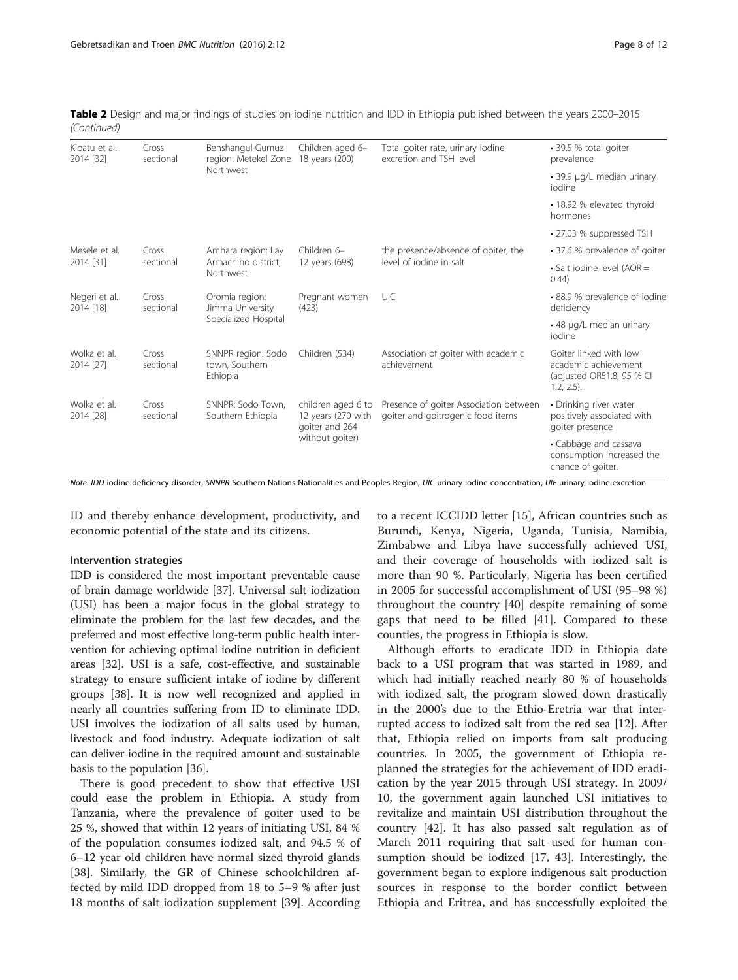| Kibatu et al.<br>2014 [32] | Cross<br>sectional | Benshangul-Gumuz<br>region: Metekel Zone<br>Northwest      | Children aged 6-<br>18 years (200)                                            | Total goiter rate, urinary iodine<br>excretion and TSH level                | • 39.5 % total goiter<br>prevalence                                                          |
|----------------------------|--------------------|------------------------------------------------------------|-------------------------------------------------------------------------------|-----------------------------------------------------------------------------|----------------------------------------------------------------------------------------------|
|                            |                    |                                                            |                                                                               |                                                                             | • 39.9 µg/L median urinary<br>iodine                                                         |
|                            |                    |                                                            |                                                                               |                                                                             | • 18.92 % elevated thyroid<br>hormones                                                       |
|                            |                    |                                                            |                                                                               |                                                                             | • 27.03 % suppressed TSH                                                                     |
| Mesele et al.<br>2014 [31] | Cross<br>sectional | Amhara region: Lay<br>Armachiho district,<br>Northwest     | Children 6-<br>12 years (698)                                                 | the presence/absence of goiter, the<br>level of jodine in salt              | • 37.6 % prevalence of goiter                                                                |
|                            |                    |                                                            |                                                                               |                                                                             | • Salt iodine level (AOR =<br>(0.44)                                                         |
| Negeri et al.<br>2014 [18] | Cross<br>sectional | Oromia region:<br>Jimma University<br>Specialized Hospital | Pregnant women<br>(423)                                                       | UIC                                                                         | • 88.9 % prevalence of iodine<br>deficiency                                                  |
|                            |                    |                                                            |                                                                               |                                                                             | • 48 µg/L median urinary<br>iodine                                                           |
| Wolka et al.<br>2014 [27]  | Cross<br>sectional | SNNPR region: Sodo<br>town, Southern<br>Ethiopia           | Children (534)                                                                | Association of goiter with academic<br>achievement                          | Goiter linked with low<br>academic achievement<br>(adjusted OR51.8; 95 % CI<br>$1.2, 2.5$ ). |
| Wolka et al.<br>2014 [28]  | Cross<br>sectional | SNNPR: Sodo Town.<br>Southern Ethiopia                     | children aged 6 to<br>12 years (270 with<br>goiter and 264<br>without goiter) | Presence of goiter Association between<br>goiter and goitrogenic food items | • Drinking river water<br>positively associated with<br>goiter presence                      |
|                            |                    |                                                            |                                                                               |                                                                             | • Cabbage and cassava<br>consumption increased the<br>chance of goiter.                      |

Table 2 Design and major findings of studies on iodine nutrition and IDD in Ethiopia published between the years 2000–2015 (Continued)

Note: IDD iodine deficiency disorder, SNNPR Southern Nations Nationalities and Peoples Region, UIC urinary iodine concentration, UIE urinary iodine excretion

ID and thereby enhance development, productivity, and economic potential of the state and its citizens.

#### Intervention strategies

IDD is considered the most important preventable cause of brain damage worldwide [[37](#page-10-0)]. Universal salt iodization (USI) has been a major focus in the global strategy to eliminate the problem for the last few decades, and the preferred and most effective long-term public health intervention for achieving optimal iodine nutrition in deficient areas [\[32\]](#page-10-0). USI is a safe, cost-effective, and sustainable strategy to ensure sufficient intake of iodine by different groups [\[38](#page-10-0)]. It is now well recognized and applied in nearly all countries suffering from ID to eliminate IDD. USI involves the iodization of all salts used by human, livestock and food industry. Adequate iodization of salt can deliver iodine in the required amount and sustainable basis to the population [[36](#page-10-0)].

There is good precedent to show that effective USI could ease the problem in Ethiopia. A study from Tanzania, where the prevalence of goiter used to be 25 %, showed that within 12 years of initiating USI, 84 % of the population consumes iodized salt, and 94.5 % of 6–12 year old children have normal sized thyroid glands [[38\]](#page-10-0). Similarly, the GR of Chinese schoolchildren affected by mild IDD dropped from 18 to 5–9 % after just 18 months of salt iodization supplement [[39\]](#page-10-0). According

to a recent ICCIDD letter [\[15](#page-10-0)], African countries such as Burundi, Kenya, Nigeria, Uganda, Tunisia, Namibia, Zimbabwe and Libya have successfully achieved USI, and their coverage of households with iodized salt is more than 90 %. Particularly, Nigeria has been certified in 2005 for successful accomplishment of USI (95–98 %) throughout the country [\[40](#page-11-0)] despite remaining of some gaps that need to be filled [[41\]](#page-11-0). Compared to these counties, the progress in Ethiopia is slow.

Although efforts to eradicate IDD in Ethiopia date back to a USI program that was started in 1989, and which had initially reached nearly 80 % of households with iodized salt, the program slowed down drastically in the 2000's due to the Ethio-Eretria war that interrupted access to iodized salt from the red sea [\[12\]](#page-10-0). After that, Ethiopia relied on imports from salt producing countries. In 2005, the government of Ethiopia replanned the strategies for the achievement of IDD eradication by the year 2015 through USI strategy. In 2009/ 10, the government again launched USI initiatives to revitalize and maintain USI distribution throughout the country [[42\]](#page-11-0). It has also passed salt regulation as of March 2011 requiring that salt used for human consumption should be iodized [\[17](#page-10-0), [43\]](#page-11-0). Interestingly, the government began to explore indigenous salt production sources in response to the border conflict between Ethiopia and Eritrea, and has successfully exploited the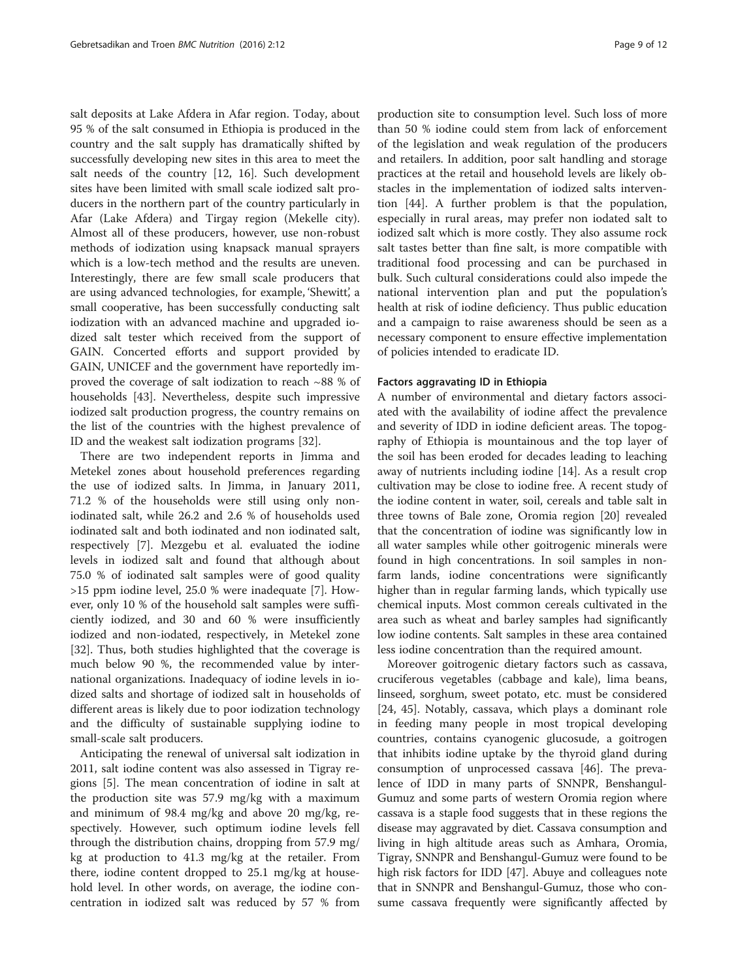salt deposits at Lake Afdera in Afar region. Today, about 95 % of the salt consumed in Ethiopia is produced in the country and the salt supply has dramatically shifted by successfully developing new sites in this area to meet the salt needs of the country [\[12](#page-10-0), [16](#page-10-0)]. Such development sites have been limited with small scale iodized salt producers in the northern part of the country particularly in Afar (Lake Afdera) and Tirgay region (Mekelle city). Almost all of these producers, however, use non-robust methods of iodization using knapsack manual sprayers which is a low-tech method and the results are uneven. Interestingly, there are few small scale producers that are using advanced technologies, for example, 'Shewitt', a small cooperative, has been successfully conducting salt iodization with an advanced machine and upgraded iodized salt tester which received from the support of GAIN. Concerted efforts and support provided by GAIN, UNICEF and the government have reportedly improved the coverage of salt iodization to reach ~88 % of households [[43\]](#page-11-0). Nevertheless, despite such impressive iodized salt production progress, the country remains on the list of the countries with the highest prevalence of ID and the weakest salt iodization programs [[32\]](#page-10-0).

There are two independent reports in Jimma and Metekel zones about household preferences regarding the use of iodized salts. In Jimma, in January 2011, 71.2 % of the households were still using only noniodinated salt, while 26.2 and 2.6 % of households used iodinated salt and both iodinated and non iodinated salt, respectively [\[7](#page-10-0)]. Mezgebu et al. evaluated the iodine levels in iodized salt and found that although about 75.0 % of iodinated salt samples were of good quality >15 ppm iodine level, 25.0 % were inadequate [[7\]](#page-10-0). However, only 10 % of the household salt samples were sufficiently iodized, and 30 and 60 % were insufficiently iodized and non-iodated, respectively, in Metekel zone [[32\]](#page-10-0). Thus, both studies highlighted that the coverage is much below 90 %, the recommended value by international organizations. Inadequacy of iodine levels in iodized salts and shortage of iodized salt in households of different areas is likely due to poor iodization technology and the difficulty of sustainable supplying iodine to small-scale salt producers.

Anticipating the renewal of universal salt iodization in 2011, salt iodine content was also assessed in Tigray regions [[5\]](#page-10-0). The mean concentration of iodine in salt at the production site was 57.9 mg/kg with a maximum and minimum of 98.4 mg/kg and above 20 mg/kg, respectively. However, such optimum iodine levels fell through the distribution chains, dropping from 57.9 mg/ kg at production to 41.3 mg/kg at the retailer. From there, iodine content dropped to 25.1 mg/kg at household level. In other words, on average, the iodine concentration in iodized salt was reduced by 57 % from

production site to consumption level. Such loss of more than 50 % iodine could stem from lack of enforcement of the legislation and weak regulation of the producers and retailers. In addition, poor salt handling and storage practices at the retail and household levels are likely obstacles in the implementation of iodized salts intervention [\[44\]](#page-11-0). A further problem is that the population, especially in rural areas, may prefer non iodated salt to iodized salt which is more costly. They also assume rock salt tastes better than fine salt, is more compatible with traditional food processing and can be purchased in bulk. Such cultural considerations could also impede the national intervention plan and put the population's health at risk of iodine deficiency. Thus public education and a campaign to raise awareness should be seen as a necessary component to ensure effective implementation of policies intended to eradicate ID.

#### Factors aggravating ID in Ethiopia

A number of environmental and dietary factors associated with the availability of iodine affect the prevalence and severity of IDD in iodine deficient areas. The topography of Ethiopia is mountainous and the top layer of the soil has been eroded for decades leading to leaching away of nutrients including iodine [\[14](#page-10-0)]. As a result crop cultivation may be close to iodine free. A recent study of the iodine content in water, soil, cereals and table salt in three towns of Bale zone, Oromia region [[20](#page-10-0)] revealed that the concentration of iodine was significantly low in all water samples while other goitrogenic minerals were found in high concentrations. In soil samples in nonfarm lands, iodine concentrations were significantly higher than in regular farming lands, which typically use chemical inputs. Most common cereals cultivated in the area such as wheat and barley samples had significantly low iodine contents. Salt samples in these area contained less iodine concentration than the required amount.

Moreover goitrogenic dietary factors such as cassava, cruciferous vegetables (cabbage and kale), lima beans, linseed, sorghum, sweet potato, etc. must be considered [[24,](#page-10-0) [45\]](#page-11-0). Notably, cassava, which plays a dominant role in feeding many people in most tropical developing countries, contains cyanogenic glucosude, a goitrogen that inhibits iodine uptake by the thyroid gland during consumption of unprocessed cassava [[46](#page-11-0)]. The prevalence of IDD in many parts of SNNPR, Benshangul-Gumuz and some parts of western Oromia region where cassava is a staple food suggests that in these regions the disease may aggravated by diet. Cassava consumption and living in high altitude areas such as Amhara, Oromia, Tigray, SNNPR and Benshangul-Gumuz were found to be high risk factors for IDD [[47](#page-11-0)]. Abuye and colleagues note that in SNNPR and Benshangul-Gumuz, those who consume cassava frequently were significantly affected by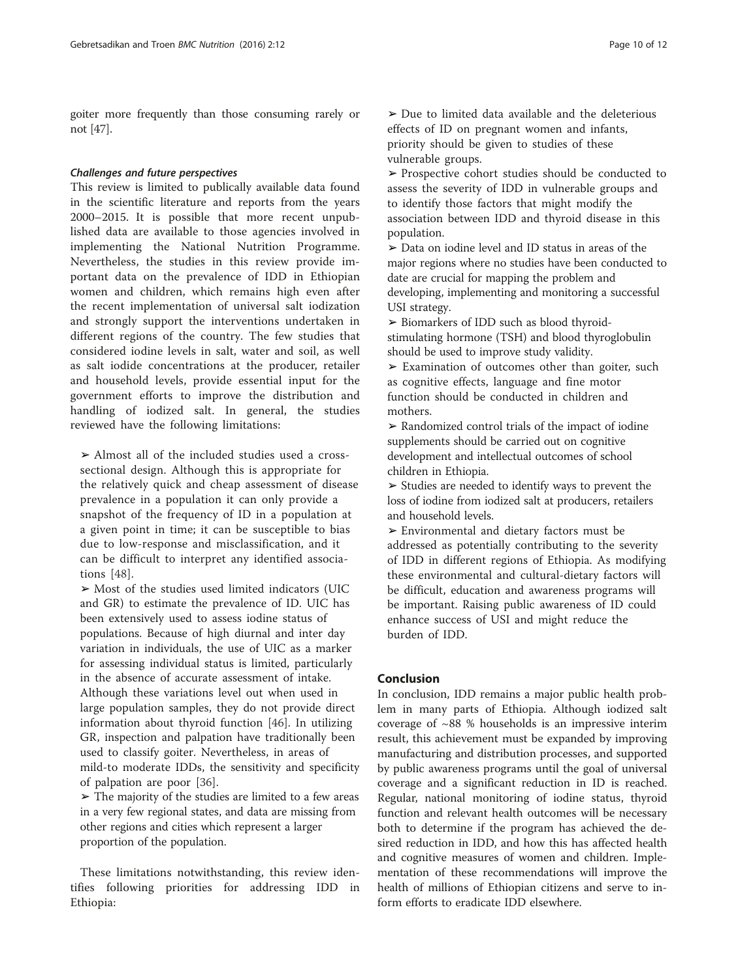goiter more frequently than those consuming rarely or not [[47](#page-11-0)].

#### Challenges and future perspectives

This review is limited to publically available data found in the scientific literature and reports from the years 2000–2015. It is possible that more recent unpublished data are available to those agencies involved in implementing the National Nutrition Programme. Nevertheless, the studies in this review provide important data on the prevalence of IDD in Ethiopian women and children, which remains high even after the recent implementation of universal salt iodization and strongly support the interventions undertaken in different regions of the country. The few studies that considered iodine levels in salt, water and soil, as well as salt iodide concentrations at the producer, retailer and household levels, provide essential input for the government efforts to improve the distribution and handling of iodized salt. In general, the studies reviewed have the following limitations:

 $\geq$  Almost all of the included studies used a crosssectional design. Although this is appropriate for the relatively quick and cheap assessment of disease prevalence in a population it can only provide a snapshot of the frequency of ID in a population at a given point in time; it can be susceptible to bias due to low-response and misclassification, and it can be difficult to interpret any identified associations [[48\]](#page-11-0).

➢ Most of the studies used limited indicators (UIC and GR) to estimate the prevalence of ID. UIC has been extensively used to assess iodine status of populations. Because of high diurnal and inter day variation in individuals, the use of UIC as a marker for assessing individual status is limited, particularly in the absence of accurate assessment of intake. Although these variations level out when used in large population samples, they do not provide direct information about thyroid function [\[46](#page-11-0)]. In utilizing GR, inspection and palpation have traditionally been used to classify goiter. Nevertheless, in areas of mild-to moderate IDDs, the sensitivity and specificity of palpation are poor [\[36](#page-10-0)].

 $\triangleright$  The majority of the studies are limited to a few areas in a very few regional states, and data are missing from other regions and cities which represent a larger proportion of the population.

These limitations notwithstanding, this review identifies following priorities for addressing IDD in Ethiopia:

 $\geq$  Due to limited data available and the deleterious effects of ID on pregnant women and infants, priority should be given to studies of these vulnerable groups.

➢ Prospective cohort studies should be conducted to assess the severity of IDD in vulnerable groups and to identify those factors that might modify the association between IDD and thyroid disease in this population.

➢ Data on iodine level and ID status in areas of the major regions where no studies have been conducted to date are crucial for mapping the problem and developing, implementing and monitoring a successful USI strategy.

➢ Biomarkers of IDD such as blood thyroidstimulating hormone (TSH) and blood thyroglobulin should be used to improve study validity.

 $\geq$  Examination of outcomes other than goiter, such as cognitive effects, language and fine motor function should be conducted in children and mothers.

➢ Randomized control trials of the impact of iodine supplements should be carried out on cognitive development and intellectual outcomes of school children in Ethiopia.

➢ Studies are needed to identify ways to prevent the loss of iodine from iodized salt at producers, retailers and household levels.

➢ Environmental and dietary factors must be addressed as potentially contributing to the severity of IDD in different regions of Ethiopia. As modifying these environmental and cultural-dietary factors will be difficult, education and awareness programs will be important. Raising public awareness of ID could enhance success of USI and might reduce the burden of IDD.

#### Conclusion

In conclusion, IDD remains a major public health problem in many parts of Ethiopia. Although iodized salt coverage of ~88 % households is an impressive interim result, this achievement must be expanded by improving manufacturing and distribution processes, and supported by public awareness programs until the goal of universal coverage and a significant reduction in ID is reached. Regular, national monitoring of iodine status, thyroid function and relevant health outcomes will be necessary both to determine if the program has achieved the desired reduction in IDD, and how this has affected health and cognitive measures of women and children. Implementation of these recommendations will improve the health of millions of Ethiopian citizens and serve to inform efforts to eradicate IDD elsewhere.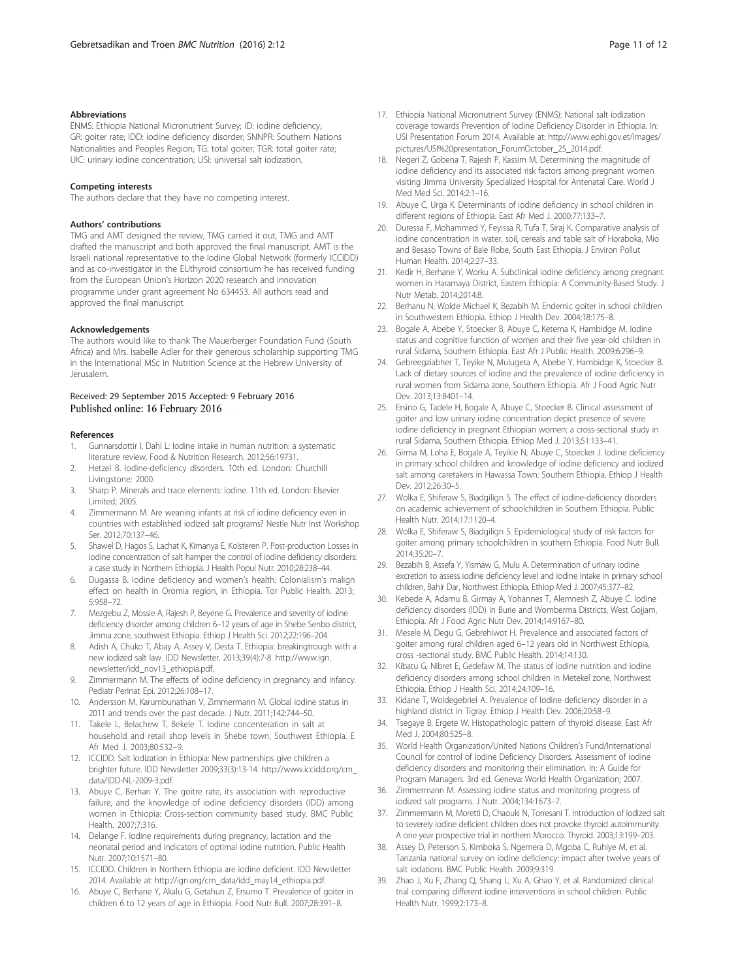#### <span id="page-10-0"></span>Abbreviations

ENMS: Ethiopia National Micronutrient Survey; ID: iodine deficiency; GR: goiter rate; IDD: iodine deficiency disorder; SNNPR: Southern Nations Nationalities and Peoples Region; TG: total goiter; TGR: total goiter rate; UIC: urinary iodine concentration; USI: universal salt iodization.

#### Competing interests

The authors declare that they have no competing interest.

#### Authors' contributions

TMG and AMT designed the review, TMG carried it out, TMG and AMT drafted the manuscript and both approved the final manuscript. AMT is the Israeli national representative to the Iodine Global Network (formerly ICCIDD) and as co-investigator in the EUthyroid consortium he has received funding from the European Union's Horizon 2020 research and innovation programme under grant agreement No 634453. All authors read and approved the final manuscript.

#### Acknowledgements

The authors would like to thank The Mauerberger Foundation Fund (South Africa) and Mrs. Isabelle Adler for their generous scholarship supporting TMG in the International MSc in Nutrition Science at the Hebrew University of Jerusalem.

#### Received: 29 September 2015 Accepted: 9 February 2016 Published online: 16 February 2016

#### References

- 1. Gunnarsdottir I, Dahl L: Iodine intake in human nutrition: a systematic literature review. Food & Nutrition Research. 2012;56:19731.
- 2. Hetzel B. Iodine-deficiency disorders. 10th ed. London: Churchill Livingstone; 2000.
- 3. Sharp P. Minerals and trace elements: iodine. 11th ed. London: Elsevier Limited; 2005.
- Zimmermann M. Are weaning infants at risk of iodine deficiency even in countries with established iodized salt programs? Nestle Nutr Inst Workshop Ser. 2012;70:137–46.
- 5. Shawel D, Hagos S, Lachat K, Kimanya E, Kolsteren P. Post-production Losses in iodine concentration of salt hamper the control of iodine deficiency disorders: a case study in Northern Ethiopia. J Health Popul Nutr. 2010;28:238–44.
- 6. Dugassa B. Iodine deficiency and women's health: Colonialism's malign effect on health in Oromia region, in Ethiopia. Tor Public Health. 2013; 5:958–72.
- 7. Mezgebu Z, Mossie A, Rajesh P, Beyene G. Prevalence and severity of iodine deficiency disorder among children 6–12 years of age in Shebe Senbo district, Jimma zone, southwest Ethiopia. Ethiop J Health Sci. 2012;22:196–204.
- Adish A, Chuko T, Abay A, Assey V, Desta T. Ethiopia: breakingtrough with a new iodized salt law. IDD Newsletter. 2013;39(4):7-8. [http://www.ign.](http://www.ign.newsletter/idd_nov13_ethiopia.pdf) [newsletter/idd\\_nov13\\_ethiopia.pdf.](http://www.ign.newsletter/idd_nov13_ethiopia.pdf)
- 9. Zimmermann M. The effects of iodine deficiency in pregnancy and infancy. Pediatr Perinat Epi. 2012;26:108–17.
- 10. Andersson M, Karumbunathan V, Zimmermann M. Global iodine status in 2011 and trends over the past decade. J Nutr. 2011;142:744–50.
- 11. Takele L, Belachew T, Bekele T. Iodine concenteration in salt at household and retail shop levels in Shebe town, Southwest Ethiopia. E Afr Med J. 2003;80:532–9.
- 12. ICCIDD. Salt Iodization in Ethiopia: New partnerships give children a brighter future. IDD Newsletter 2009;33(3):13-14. [http://www.iccidd.org/cm\\_](http://www.iccidd.org/cm_data/IDD-NL-2009-3.pdf) [data/IDD-NL-2009-3.pdf.](http://www.iccidd.org/cm_data/IDD-NL-2009-3.pdf)
- 13. Abuye C, Berhan Y. The goitre rate, its association with reproductive failure, and the knowledge of iodine deficiency disorders (IDD) among women in Ethiopia: Cross-section community based study. BMC Public Health. 2007;7:316.
- 14. Delange F. Iodine requirements during pregnancy, lactation and the neonatal period and indicators of optimal iodine nutrition. Public Health Nutr. 2007;10:1571–80.
- 15. ICCIDD. Children in Northern Ethiopia are iodine deficient. IDD Newsletter 2014. Available at: [http://ign.org/cm\\_data/idd\\_may14\\_ethiopia.pdf.](http://ign.org/cm_data/idd_may14_ethiopia.pdf)
- 16. Abuye C, Berhane Y, Akalu G, Getahun Z, Ersumo T. Prevalence of goiter in children 6 to 12 years of age in Ethiopia. Food Nutr Bull. 2007;28:391–8.
- 17. Ethiopia National Micronutrient Survey (ENMS): National salt iodization coverage towards Prevention of Iodine Deficiency Disorder in Ethiopia. In: USI Presentation Forum 2014. Available at: [http://www.ephi.gov.et/images/](http://www.ephi.gov.et/images/pictures/USI%20presentation_ForumOctober_25_2014.pdf) [pictures/USI%20presentation\\_ForumOctober\\_25\\_2014.pdf](http://www.ephi.gov.et/images/pictures/USI%20presentation_ForumOctober_25_2014.pdf).
- 18. Negeri Z, Gobena T, Rajesh P, Kassim M. Determining the magnitude of iodine deficiency and its associated risk factors among pregnant women visiting Jimma University Specialized Hospital for Antenatal Care. World J Med Med Sci. 2014;2:1–16.
- 19. Abuye C, Urga K. Determinants of iodine deficiency in school children in different regions of Ethiopia. East Afr Med J. 2000;77:133–7.
- 20. Duressa F, Mohammed Y, Feyissa R, Tufa T, Siraj K. Comparative analysis of iodine concentration in water, soil, cereals and table salt of Horaboka, Mio and Besaso Towns of Bale Robe, South East Ethiopia. J Environ Pollut Human Health. 2014;2:27–33.
- 21. Kedir H, Berhane Y, Worku A. Subclinical iodine deficiency among pregnant women in Haramaya District, Eastern Ethiopia: A Community-Based Study. J Nutr Metab. 2014;2014:8.
- 22. Berhanu N, Wolde Michael K, Bezabih M. Endemic goiter in school children in Southwestern Ethiopia. Ethiop J Health Dev. 2004;18:175–8.
- 23. Bogale A, Abebe Y, Stoecker B, Abuye C, Ketema K, Hambidge M. Iodine status and cognitive function of women and their five year old children in rural Sidama, Southern Ethiopia. East Afr J Public Health. 2009;6:296–9.
- 24. Gebreegziabher T, Teyike N, Mulugeta A, Abebe Y, Hambidge K, Stoecker B. Lack of dietary sources of iodine and the prevalence of iodine deficiency in rural women from Sidama zone, Southern Ethiopia. Afr J Food Agric Nutr Dev. 2013;13:8401–14.
- 25. Ersino G, Tadele H, Bogale A, Abuye C, Stoecker B. Clinical assessment of goiter and low urinary iodine concentration depict presence of severe iodine deficiency in pregnant Ethiopian women: a cross-sectional study in rural Sidama, Southern Ethiopia. Ethiop Med J. 2013;51:133–41.
- 26. Girma M, Loha E, Bogale A, Teyikie N, Abuye C, Stoecker J. Iodine deficiency in primary school children and knowledge of iodine deficiency and iodized salt among caretakers in Hawassa Town: Southern Ethiopia. Ethiop J Health Dev. 2012;26:30–5.
- 27. Wolka E, Shiferaw S, Biadgilign S. The effect of iodine-deficiency disorders on academic achievement of schoolchildren in Southern Ethiopia. Public Health Nutr. 2014;17:1120–4.
- 28. Wolka E, Shiferaw S, Biadgilign S. Epidemiological study of risk factors for goiter among primary schoolchildren in southern Ethiopia. Food Nutr Bull. 2014;35:20–7.
- 29. Bezabih B, Assefa Y, Yismaw G, Mulu A. Determination of urinary iodine excretion to assess iodine deficiency level and iodine intake in primary school children, Bahir Dar, Northwest Ethiopia. Ethiop Med J. 2007;45:377–82.
- 30. Kebede A, Adamu B, Girmay A, Yohannes T, Alemnesh Z, Abuye C. Iodine deficiency disorders (IDD) in Burie and Womberma Districts, West Gojjam, Ethiopia. Afr J Food Agric Nutr Dev. 2014;14:9167–80.
- 31. Mesele M, Degu G, Gebrehiwot H. Prevalence and associated factors of goiter among rural children aged 6–12 years old in Northwest Ethiopia, cross -sectional study. BMC Public Health. 2014;14:130.
- 32. Kibatu G, Nibret E, Gedefaw M. The status of iodine nutrition and iodine deficiency disorders among school children in Metekel zone, Northwest Ethiopia. Ethiop J Health Sci. 2014;24:109–16.
- 33. Kidane T, Woldegebriel A. Prevalence of Iodine deficiency disorder in a highland district in Tigray. Ethiop J Health Dev. 2006;20:58–9.
- 34. Tsegaye B, Ergete W. Histopathologic pattern of thyroid disease. East Afr Med J. 2004;80:525–8.
- 35. World Health Organization/United Nations Children's Fund/International Council for control of Iodine Deficiency Disorders. Assessment of iodine deficiency disorders and monitoring their elimination. In: A Guide for Program Managers. 3rd ed. Geneva: World Health Organization; 2007.
- 36. Zimmermann M. Assessing iodine status and monitoring progress of iodized salt programs. J Nutr. 2004;134:1673–7.
- 37. Zimmermann M, Moretti D, Chaouki N, Torresani T. Introduction of iodized salt to severely iodine deficient children does not provoke thyroid autoimmunity. A one year prospective trial in northern Morocco. Thyroid. 2003;13:199–203.
- 38. Assey D, Peterson S, Kimboka S, Ngemera D, Mgoba C, Ruhiye M, et al. Tanzania national survey on iodine deficiency: impact after twelve years of salt iodations. BMC Public Health. 2009;9:319.
- 39. Zhao J, Xu F, Zhang Q, Shang L, Xu A, Ghao Y, et al. Randomized clinical trial comparing different iodine interventions in school children. Public Health Nutr. 1999;2:173–8.